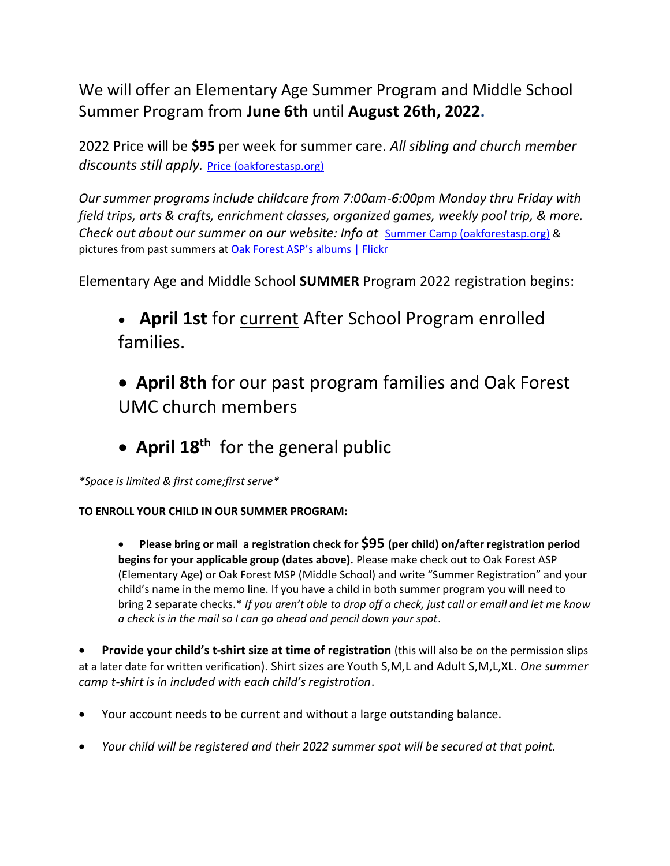We will offer an Elementary Age Summer Program and Middle School Summer Program from **June 6th** until **August 26th, 2022.**

2022 Price will be **\$95** per week for summer care. *All sibling and church member discounts still apply.* [Price \(oakforestasp.org\)](https://oakforestasp.org/gTuition)

*Our summer programs include childcare from 7:00am-6:00pm Monday thru Friday with field trips, arts & crafts, enrichment classes, organized games, weekly pool trip, & more. Check out about our summer on our website: Info at <u>[Summer Camp \(oakforestasp.org\)](https://oakforestasp.org/SummerCamp)</u> &* pictures from past summers at [Oak Forest ASP's albums | Flickr](https://www.flickr.com/photos/oakforestsummercamps/albums)

Elementary Age and Middle School **SUMMER** Program 2022 registration begins:

• **April 1st** for current After School Program enrolled families.

• **April 8th** for our past program families and Oak Forest UMC church members

• **April 18th** for the general public

*\*Space is limited & first come;first serve\**

**TO ENROLL YOUR CHILD IN OUR SUMMER PROGRAM:**

• **Please bring or mail a registration check for \$95 (per child) on/after registration period begins for your applicable group (dates above).** Please make check out to Oak Forest ASP (Elementary Age) or Oak Forest MSP (Middle School) and write "Summer Registration" and your child's name in the memo line. If you have a child in both summer program you will need to bring 2 separate checks.\* *If you aren't able to drop off a check, just call or email and let me know a check is in the mail so I can go ahead and pencil down your spot*.

• **Provide your child's t-shirt size at time of registration** (this will also be on the permission slips at a later date for written verification). Shirt sizes are Youth S,M,L and Adult S,M,L,XL. *One summer camp t-shirt is in included with each child's registration*.

- Your account needs to be current and without a large outstanding balance.
- *Your child will be registered and their 2022 summer spot will be secured at that point.*